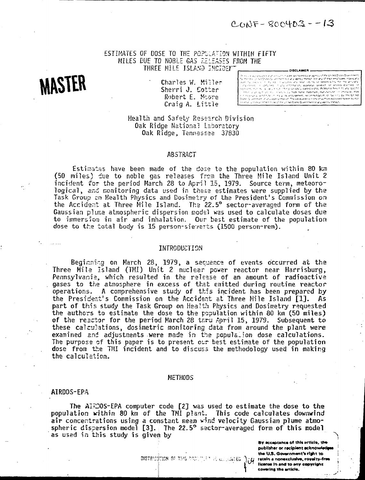$CONF - SOO403 - 13$ 

# ESTIMATES OF DOSE TO THE POPULATION WITHIN FIFTY MILES DUE TO NOBLE GAS RELEASES FROM THE THREE MILE ISLAND INCIDENT

# **MASTER**

• Charles W. Miller Sherri J. Cotter Robert E. Moore Craig A. Little

an, asperbrus je Lrivately, owned kights, Refer mon la principal des est. In sex en la trade name, trademane, muncitationer in othere<br>nonnouve la ratifice in limidie its emporement, resammendation, criterin 1913 bei 19 views and composition authors expressed

# Health and Safety Research Division Oak Ridge National Laboratory Oak Ridge, Tennessee 37830

## ABSTRACT

Estimates have been made of the dose to the population within 80 km (50 miles) due to noble gas releases fres the Three Mile Island Unit 2 incident for the period March 28 to April 15, 1979. Source term, meteorological, and monitoring data used in these estimates were supplied by the Task Group en Health Physics and Dosimetry of tha President's Commission on the Accident at Three Mile Island. The 22.5° sector-averaged form of the Gaussian plume atmospheric dispersion model was used to calculate doses due to immersion in air and inhalation. Our best estimate of the population dose to the total body is 15 person-sieverts (1500 person-rem).

#### INTRODUCTION

Beginning on March 28, 1979, a sequence of events occurred at the  $\,$ Three Mile Island (TMI) Unit 2 nuclear power reactor near Harrisburg, Pennsylvania, which resulted in the release of an amount of radioactive gases to the atmosphere in excess of thst emitted during routine reactor operations. A comprehensive study of this incident has been prepared by the President's Commission on the Accident st Three Mile Island [1]. As part of this study the Task Group on Health Physics and Dosimetry requested the authors to estimate the dose to the population within 80 km (50 miles) of the reactor for the period March 28 thru April 15, 1979. Subsequent to these calculations, dosimetric monitoring data from around the plant were examined and adjustments were made in the population dose calculations. The purpose of this paper is to present our best estimate of the population dose from t£e TMI incident and to discuss the methodology used in making the calculation.

# METHODS

#### AIRDOS-EPA

The AlrDOS-EPA computer code  $[2]$  was used to estimate the dose to the population within 80 km of the TMI plant. This code calculates downwind air concentrations using a constant mean wind velocity Gaussian plume atmospheric dispersion model [3]. The 22.5° sector-averaged form of this modal as used in this study is given by

> **By acceptance of this erticle, the** publisher or recipient ecknowiedges the U.S. Government's right to **L IteenM in and to any copyright** covering the article.

 $38.0$   $78\%$   $77\%$   $79\%$  . If  $\leq$   $\alpha$  ,  $\beta_0$  and  $\alpha$   $\geq$   $\alpha$  retain a nonexclusive, royalty-free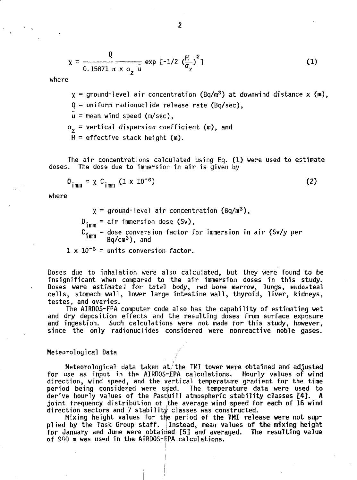$$
\chi = \frac{Q}{0.15871 \pi \times \sigma_{Z} \bar{u}} \exp \left[-1/2 \left(\frac{H}{\sigma_{Z}}\right)^{2}\right]
$$
 (1)

where

 $x =$  ground-level air concentration (Bq/m<sup>3</sup>) at downwind distance x (m),

 $Q =$  uniform radionuclide release rate (Bq/sec).

 $\bar{u}$  = mean wind speed (m/sec).

 $\sigma_{\gamma}$  = vertical dispersion coefficient (m), and

 $H =$  effective stack height (m).

The air concentrations calculated using Eq. (1) were used to estimate doses. The dose due to immersion in air is given by

$$
D_{\text{imm}} = \chi C_{\text{imm}} (1 \times 10^{-6})
$$
 (2)

where

 $x =$  ground-level air concentration (Bq/m<sup>3</sup>),  $D_{\text{imm}} = \text{air immersion dose (Sv)}$ ,  $\mathbb{C}_{\mathfrak{z}_{mm}}$  = dose conversion factor for immersion in air (Sv/y per  $\frac{11000}{2}$  Bq/cm<sup>3</sup>), and

 $1 \times 10^{-6}$  = units conversion factor.

Doses due to inhalation were also calculated, but they were found to be insignificant when compared to the air immersion doses in this study. Doses were estimated for total body, red bone marrow, lungs, endosteal cells, stomach wall, lower large intestine wall, thyroid, liver, kidneys, testes, and ovaries.

The AIRDOS-EPA computer code also has the capability of estimating wet and dry deposition effects and the resulting doses from surface exposure and ingestion. Such calculations were not made for this study, however, since the only radionuclides considered were nonreactive noble gases.

# Meteorological Data

Meteorological data taken at the TMI tower were obtained and adjusted for use as input in the AIRDOS-EPA calculations. Hourly values of wind direction, wind speed, and the vertical temperature gradient for the time period being considered were used. The temperature data were used to derive hourly values of the Pasquill atmospheric stability classes [4]. A joint frequency distribution of the average wind speed for each of 16 wind direction sectors and 7 stability classes was constructed.

Mixing height values for the period of the TMI release were not supplied by the Task Group staff. Instead, mean values of the mixing height for January and June were obtained [5] and averaged. The resulting value of SCO m was used in the AIRDOS-EPA calculations.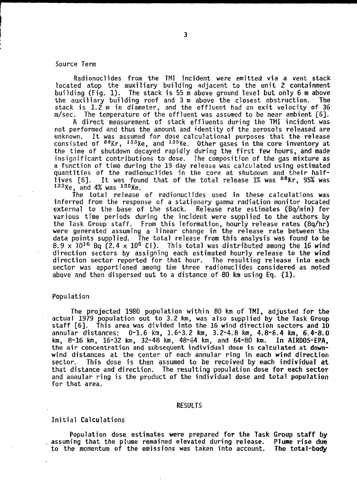# Source Term

Radionuclides from the TMI incident were emitted via a vent stack located atop the auxiliary building adjacent to the unit 2 containment building (Fig. 1). The stack is 55 m above ground level but only 6 m above the auxiliary building roof and 3 m above the closest obstruction. The stack is 1.2 m in diameter, and the effluent had an exit velocity of 36 m/sec. The temperature of the effluent was assumed to be near ambient [6].

A direct measurement of stack effluents during the TMI incident was not performed and thus the amount and identity of the aerosols released are unknown. It was assumed for dose calculational purposes that the release consisted of  $^{88}\mathrm{Kr}$ ,  $^{133}\mathrm{Xe}$ , and  $^{135}\mathrm{Xe}$ . Other gases in the core inventory at the time of shutdown decayed rapidly during the first few hours, and made insignificant contributions to dose. The composition of the gas mixture as a function of time during the 19 day release was calculated using estimated quantities of the radionuclides in the core at shutdown and their halflives [6]. It was found that of the total release 1% was <sup>88</sup>Kr, 95% was  $133$ Xe, and 4% was  $135$ Xe.

The total release of radionuclides used in these calculations was inferred from the response of a stationary gamma radiation monitor located external to the base of the stack. Release rate estimates (Bq/min) for various time periods during the incident were supplied to the authors by the Task Group staff. From this information, hourly release rates (Bq/hr) were generated assuming a linear change in the release rate between the data points supplied. The total release from this analysis was found to be 8.9 x 10<sup>16</sup> Bq (2.4 x 10<sup>6</sup> Ci). This total was distributed among the 16 wind direction sectors by assigning each estimated hourly release to the wind direction sector reported for that hour. The resulting release into each sector was apportioned among the three radionuclides considered as noted above and then dispersed out to a distance of 80 km using Eq. (1).

#### Population

The projected 1980 population within 80 km of TMI, adjusted for the actual 1979 population out to 3.2 km, was also supplied by the Task Group staff [6]. This area was divided into the 16 wind direction sectors and 10 annular distances: 0-1.6 km, 1.6-3.2 km, 3.2-4.8 km, 4.8-6.4 km, 6.4-8.0<br>km. 8-16 km. 16-32 km, 32-48 km, 48-64 km, and 64-80 km. In AIRDOS-EPA,  $km, 8-16$  km,  $16-32$  km,  $32-48$  km,  $48-64$  km, and  $64-80$  km. the air concentration and subsequent individual dose is calculated at downwind distances at the center of each annular ring in each wind direction sector. This dose is then assumed to be received by each individual at that distance and direction. The resulting population dose for each sector and annular ring is the product of the individual dose and total population for that area.

#### RESULTS

# Initial Calculations

Population dose estimates were prepared for the Task Group staff by assuming that the plume remained elevated during release. Plume rise due to the momentum of the emissions was taken into account. The total-body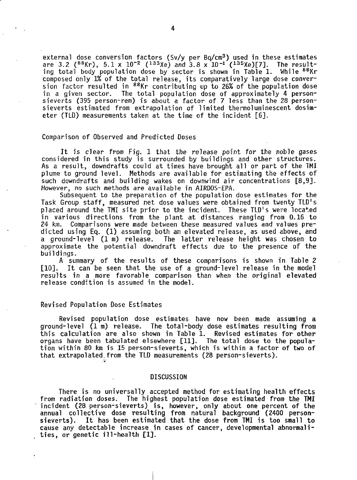external dose conversion factors (Sv/y per Bq/cm<sup>3</sup>) used in these estimates are 3.2 (88Kr),  $5.1 \times 10^{-2}$  (133Xe) and 3.8 x 10<sup>-1</sup> (135Xe)[7]. The resulting total body population dose by sector is shown in Table 1. While <sup>88</sup>Kr composed only 1% of the total release, its comparatively large dose conversion factor resulted in <sup>88</sup>Kr contributing up to 26% of the population dose in a given sector. The total population dose of approximately 4 personsieverts (395 person-rem) is about a factor of 7 less than the 28 personsieverts estimated from extrapolation of limited thermoluminescent dosimeter (TLD) measurements taken at the time of the incident [6].

## Comparison of Observed and Predicted Doses

It is clear from Fig. 1 that the release point for the noble gases considered in this study is surrounded by buildings and other structures. As a result, downdrafts could at times have brought all or part of the TMI plume to ground level. Methods are available for estimating the effects of such downdrafts and building wakes on downwind air concentrations [8,9]. However, no such methods are available in AIRDOS-EPA.

Subsequent to the preparation of the population dose estimates for the Task Group staff, measured net dose values were obtained from twenty TLD's placed around the TMI site prior to the incident. These TLD's were located in various directions from the plant at distances ranging from 0.16 to 24 km. Comparisons were made between these measured values and values predicted using Eq. (1) assuming both an elevated release, as used above, and a ground-level (1 m) release. The latter release height was chosen to approximate the potential downdraft effects due to the presence of the buildings.

A summary of the results of these comparisons is shown in Table 2 [10]. It can be seen that the use of a ground-level release in the model results in a more favorable comparison than when the original elevated release condition is assumed in the model.

## Revised Population Dose Estimates

Revised population dose estimates have now been made assuming a ground-level (1 m) release. The total-body dose estimates resulting from this calculation are also shown in Table 1. Revised estimates for other organs have been tabulated elsewhere [11]. The total dose to the population within 80 km is 15 person-sieverts, which is within a factor of two of that extrapolated.from the TLD measurements (28 person-sieverts).

## DISCUSSION

There is no universally accepted method for estimating health effects from radiation doses. The highest population dose estimated from the TMI incident (28 person-sieverts) is, however, only about one percent of the annual collective dose resulting from natural background (2400 personsieverts). It has been estimated that the dose from TMI is too small to cause any detectable increase in cases of cancer, developmental abnormalities, or genetic ill-health [1].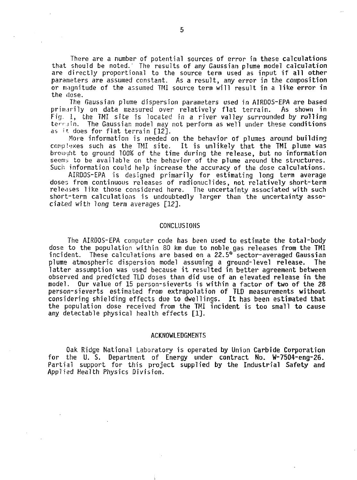There are a number of potential sources of error in these calculations that should be noted.' The results of any Gaussian plume model calculation are directly proportional to the source term used as input if all other parameters are assumed constant. As a result, any error in the composition or magnitude of the assumed I'M source term will result in a like error in the dose.

The Gaussian plume dispersion parameters used in AIRDOS-EPA are based primarily on data measured over relatively flat terrain. Fig. I, the TMI site is located in a river valley surrounded by rolling terrin. The Gaussian model may not perform as well under these conditions as  $i$ t does for flat terrain  $[12]$ .

More information is needed on the behavior of plumes around building complexes such as the TMI site. It is unlikely that the TMI plume was brought to ground 100% of the time during the release, but no information seems to be available on the behavior of the plume around the structures. Such information could help increase the accuracy of the dose calculations.

AIRDOS-EPA is designed primarily for estimating long term average doses from continuous releases of radionuclides, not relatively short-term releases like those considered here. The uncertainty associated with such short-term calculations is undoubtedly larger than the uncertainty associated with long term averages [12].

#### CONCLUSIONS

The AIRDOS-EPA computer code has been used to estimate the total-body dose to the population within 80 km due to noble gas releases from the TMI incident. These calculations are based on a 22.5° sector-averaged Gaussian plume atmospheric dispersion model assuming a ground-level release. The latter assumption was used because it resulted in better agreement between observed and predicted TLD doses than did use of an elevated release in the model. Our value of 15 person-sieverts is within a factor of two of the 28 person-si everts estimated from extrapolation of TLD measurements without considering shielding effects due to dwellings. It has been estimated that the population dose received from the TMI incident is too small to cause any detectable physical health effects [1].

#### ACKNOWLEDGMENTS

Oak Ridge National Laboratory is operated by Union Carbide Corporation for the U. S. Department of Energy under contract No. W-7504-eng-26. Partial support for this project supplied by the Industrial Safety and Applied Health Physics Division.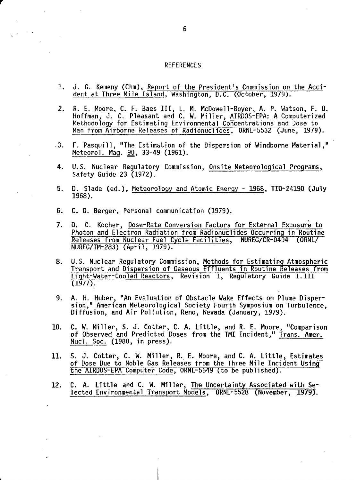#### **REFERENCES**

- 1. J. G. Kemeny (Chm), Report of the President's Commission on the Accident at Three Mile Island, Washington, D.C. (October, 1979}.
- 2. R. E. Moore, C. F. Baes III, L. M. McDowell-Boyer, A. P. Watson, F. 0. Hoffman, J. C. Pleasant and C. W. Miller, AIRDOS-EPA: A Computerized Methodology for Estimating Environmental Concentrations and Dose to Man from Airborne Releases of Radionuclides, ORNL-5532 (June, 1979).
- 3. F. Pasquill, "The Estimation of the Dispersion of Windborne Material," Meteorol. Mag. 90, 33-49 (1961).
- 4. U.S. Nuclear Regulatory Commission, Onsite Meteorological Programs, Safety Guide 23 (1972).
- 5. D. Slade (ed.), Meteorology and Atomic Energy 1968, TID-24190 (July 1968).
- 6. C. D. Berger, Personal communication (1979).
- 7. D. C. Kocher, Dose-Rate Conversion Factors for External Exposure to Photon and Electron Radiation from Radionuclides Occurring in Routine Releases from Nuclear Fuel Cycle Facilities, NUREG/CR-0494 (ORNL/ NUREG/TM-283) (April, 1979).
- 8. U.S. Nuclear Regulatory Commission, Methods for Estimating Atmospheric Transport and Dispersion of Gaseous Effluents in Routine Releases from Light-Water-Cooled Reactors, Revision 1, Regulatory Guide 1.111 (1977).
- 9. A. H. Huber, "An Evaluation of Obstacle Wake Effects on Plume Dispersion," American Meteorological Society Fourth Symposium on Turbulence, Diffusion, and Air Pollution, Reno, Nevada (January, 1979).
- 10. C. W. Miller, S. J. Cotter, C. A. Little, and R. E. Moore, "Comparison of Observed and Predicted Doses from the TMI Incident," Trans. Amer. Nucl. Soc. (1980, in press).
- 11. S. J. Cotter, C. W. Miller, R. E. Moore, and C. A. Little, Estimates of Dose Due to Noble Gas Releases from the Three Mile Incident Using the AIRDOS-EPA Computer Code, ORNL-5649 (to be published).
- 12. C. A. Little and C. W. Miller, The Uncertainty Associated with Selected Environmental Transport Models, ORNL-5528 (November, 1979).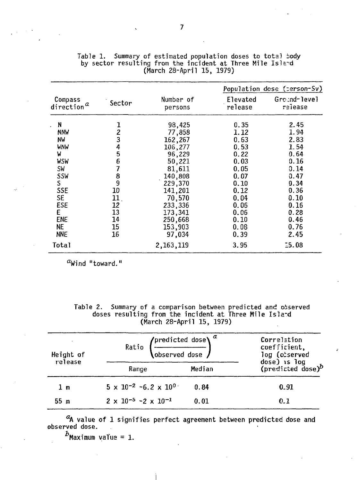|                                                |                                       |                      |                     | Population dose (cerson-Sv) |
|------------------------------------------------|---------------------------------------|----------------------|---------------------|-----------------------------|
| Compass<br>direction <sup><math>a</math></sup> | Sector                                | Number of<br>persons | Elevated<br>release | Ground-level<br>release     |
| N                                              |                                       | 98,425               | 0.35                | 2.45                        |
| <b>NNW</b>                                     |                                       | 77,858               | 1.12                | 1.94                        |
| NW                                             | $\frac{1}{2}$                         | 162,267              | 0.63                | 2.83                        |
| WNW                                            |                                       | 106,277              | 0.53                | 1.54                        |
| W                                              |                                       | 96,229               | 0.22                | 0.64                        |
| WSW                                            | 4567                                  | 50,221               | 0.03                | 0.16                        |
| <b>SW</b>                                      |                                       | 81,611               | 0.05                | 0.14                        |
| <b>SSW</b>                                     | $\begin{array}{c} 8 \\ 9 \end{array}$ | 140,808              | 0.07                | 0.47                        |
| $S_{\parallel}$                                |                                       | 229,370              | 0.10                | 0.34                        |
| <b>SSE</b>                                     | 10                                    | 141,201              | 0.12                | 0.36                        |
| SE.                                            | 11 <sub>1</sub>                       | 70,570               | 0.04                | 0.10                        |
| ESE                                            | 12                                    | 233,336              | 0.06                | 0.16                        |
| E                                              | 13                                    | 173,341              | 0.06                | 0.28                        |
| <b>ENE</b>                                     | 14                                    | 250,668              | 0.10                | 0.46                        |
| NE.                                            | 15                                    | 153,903              | 0.08                | 0.76                        |
| <b>NNE</b>                                     | 16                                    | 97,034               | 0.39                | 2.45                        |
| Total                                          |                                       | 2, 163, 119          | 3.95                | 15.08                       |

Table 1. Summary of estimated population doses to total body by sector resulting from the incident at Three Mile Island (March 28-April 15, 1979)

 $^a$ Wind "toward."

Table 2. Summary of a comparison between predicted and observed doses resulting from the incident at Three Mile Isla-d (March 28-April 15, 1979)

| Height of       | <b>/predicted dose)</b> $^{\alpha}$<br>Ratio<br>$\overline{\left( \begin{array}{c} 0 & \text{observed dose} \\ 0 & \text{observed dose} \end{array} \right)}$ | Correlation<br>coefficient,<br>log (observed |                                               |
|-----------------|---------------------------------------------------------------------------------------------------------------------------------------------------------------|----------------------------------------------|-----------------------------------------------|
| release         | Range                                                                                                                                                         | Median                                       | dose) is log<br>(predicted dose) <sup>b</sup> |
| 1 <sub>m</sub>  | $5 \times 10^{-2}$ -6.2 x $10^{0}$                                                                                                                            | 0.84                                         | 0.91                                          |
| 55 <sub>m</sub> | $2 \times 10^{-5}$ -2 $\times 10^{-1}$                                                                                                                        | 0.01                                         | 0.1                                           |

 $a_{\mathsf{A}}$  value of  $1$  signifies perfect agreement between predicted dose and observed dose.

 $b$ Maximum value = 1.